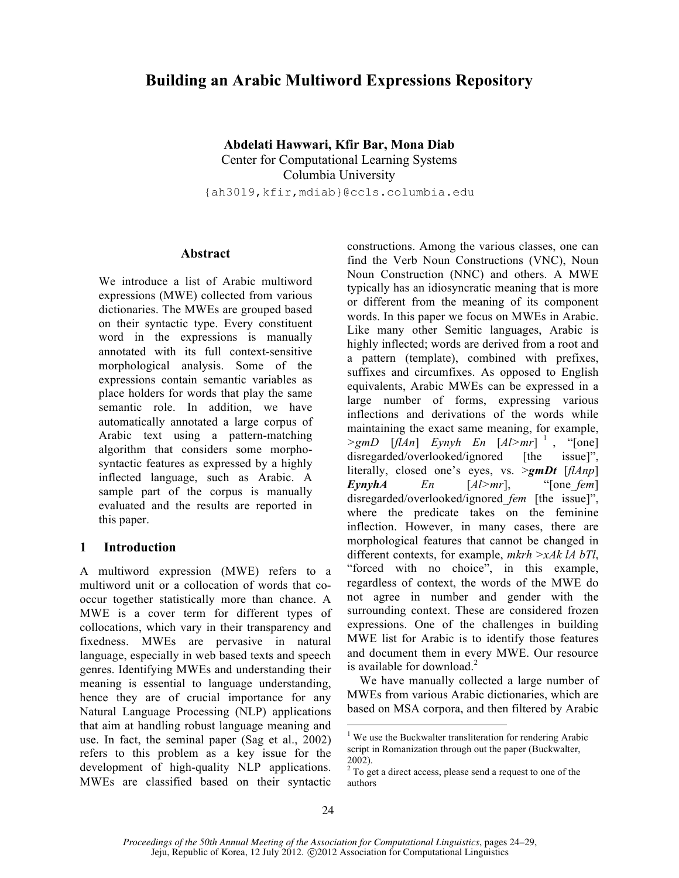# **Building an Arabic Multiword Expressions Repository**

**Abdelati Hawwari, Kfir Bar, Mona Diab**

Center for Computational Learning Systems Columbia University {ah3019,kfir,mdiab}@ccls.columbia.edu

#### **Abstract**

We introduce a list of Arabic multiword expressions (MWE) collected from various dictionaries. The MWEs are grouped based on their syntactic type. Every constituent word in the expressions is manually annotated with its full context-sensitive morphological analysis. Some of the expressions contain semantic variables as place holders for words that play the same semantic role. In addition, we have automatically annotated a large corpus of Arabic text using a pattern-matching algorithm that considers some morphosyntactic features as expressed by a highly inflected language, such as Arabic. A sample part of the corpus is manually evaluated and the results are reported in this paper.

# **1 Introduction**

A multiword expression (MWE) refers to a multiword unit or a collocation of words that cooccur together statistically more than chance. A MWE is a cover term for different types of collocations, which vary in their transparency and fixedness. MWEs are pervasive in natural language, especially in web based texts and speech genres. Identifying MWEs and understanding their meaning is essential to language understanding, hence they are of crucial importance for any Natural Language Processing (NLP) applications that aim at handling robust language meaning and use. In fact, the seminal paper (Sag et al., 2002) refers to this problem as a key issue for the development of high-quality NLP applications. MWEs are classified based on their syntactic constructions. Among the various classes, one can find the Verb Noun Constructions (VNC), Noun Noun Construction (NNC) and others. A MWE typically has an idiosyncratic meaning that is more or different from the meaning of its component words. In this paper we focus on MWEs in Arabic. Like many other Semitic languages, Arabic is highly inflected; words are derived from a root and a pattern (template), combined with prefixes, suffixes and circumfixes. As opposed to English equivalents, Arabic MWEs can be expressed in a large number of forms, expressing various inflections and derivations of the words while maintaining the exact same meaning, for example,  $\geq g m D \quad [f \mid A n] \quad E y n y h \quad E n \quad [A \mid > m r]$ <sup>1</sup>, "[one] disregarded/overlooked/ignored [the issue]", literally, closed one's eyes, vs. >*gmDt* [*flAnp*] *EynyhA En* [*Al>mr*], "[one\_*fem*] disregarded/overlooked/ignored\_*fem* [the issue]", where the predicate takes on the feminine inflection. However, in many cases, there are morphological features that cannot be changed in different contexts, for example, *mkrh >xAk lA bTl*, "forced with no choice", in this example, regardless of context, the words of the MWE do not agree in number and gender with the surrounding context. These are considered frozen expressions. One of the challenges in building MWE list for Arabic is to identify those features and document them in every MWE. Our resource is available for download.<sup>2</sup>

We have manually collected a large number of MWEs from various Arabic dictionaries, which are based on MSA corpora, and then filtered by Arabic

<sup>&</sup>lt;sup>1</sup> We use the Buckwalter transliteration for rendering Arabic script in Romanization through out the paper (Buckwalter,

<sup>2002).</sup>  $2^{2}$  To get a direct access, please send a request to one of the authors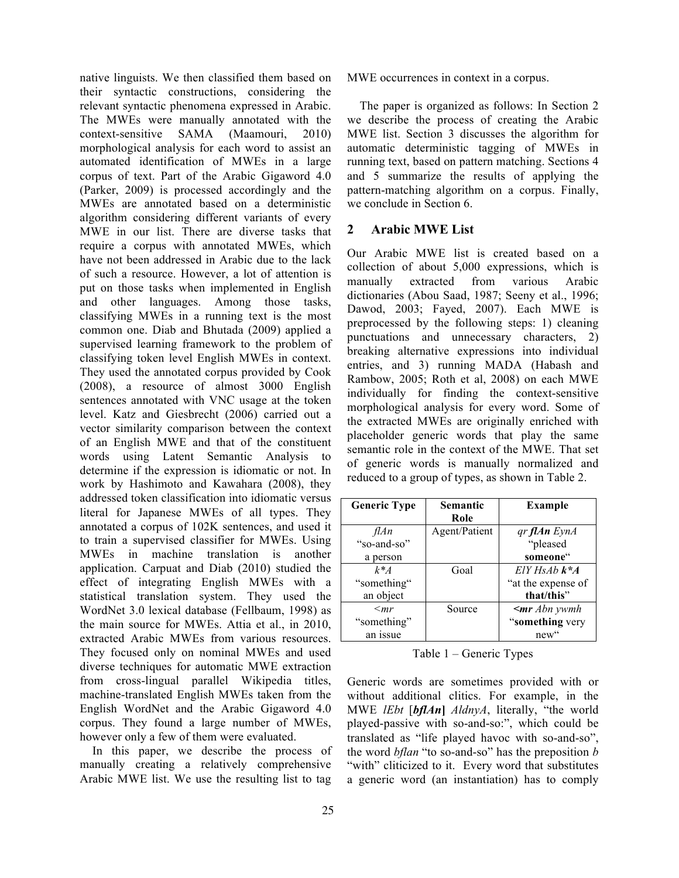native linguists. We then classified them based on their syntactic constructions, considering the relevant syntactic phenomena expressed in Arabic. The MWEs were manually annotated with the context-sensitive SAMA (Maamouri, 2010) morphological analysis for each word to assist an automated identification of MWEs in a large corpus of text. Part of the Arabic Gigaword 4.0 (Parker, 2009) is processed accordingly and the MWEs are annotated based on a deterministic algorithm considering different variants of every MWE in our list. There are diverse tasks that require a corpus with annotated MWEs, which have not been addressed in Arabic due to the lack of such a resource. However, a lot of attention is put on those tasks when implemented in English and other languages. Among those tasks, classifying MWEs in a running text is the most common one. Diab and Bhutada (2009) applied a supervised learning framework to the problem of classifying token level English MWEs in context. They used the annotated corpus provided by Cook (2008), a resource of almost 3000 English sentences annotated with VNC usage at the token level. Katz and Giesbrecht (2006) carried out a vector similarity comparison between the context of an English MWE and that of the constituent words using Latent Semantic Analysis to determine if the expression is idiomatic or not. In work by Hashimoto and Kawahara (2008), they addressed token classification into idiomatic versus literal for Japanese MWEs of all types. They annotated a corpus of 102K sentences, and used it to train a supervised classifier for MWEs. Using MWEs in machine translation is another application. Carpuat and Diab (2010) studied the effect of integrating English MWEs with a statistical translation system. They used the WordNet 3.0 lexical database (Fellbaum, 1998) as the main source for MWEs. Attia et al., in 2010, extracted Arabic MWEs from various resources. They focused only on nominal MWEs and used diverse techniques for automatic MWE extraction from cross-lingual parallel Wikipedia titles, machine-translated English MWEs taken from the English WordNet and the Arabic Gigaword 4.0 corpus. They found a large number of MWEs, however only a few of them were evaluated.

In this paper, we describe the process of manually creating a relatively comprehensive Arabic MWE list. We use the resulting list to tag MWE occurrences in context in a corpus.

The paper is organized as follows: In Section 2 we describe the process of creating the Arabic MWE list. Section 3 discusses the algorithm for automatic deterministic tagging of MWEs in running text, based on pattern matching. Sections 4 and 5 summarize the results of applying the pattern-matching algorithm on a corpus. Finally, we conclude in Section 6.

# **2 Arabic MWE List**

Our Arabic MWE list is created based on a collection of about 5,000 expressions, which is manually extracted from various Arabic dictionaries (Abou Saad, 1987; Seeny et al., 1996; Dawod, 2003; Fayed, 2007). Each MWE is preprocessed by the following steps: 1) cleaning punctuations and unnecessary characters, 2) breaking alternative expressions into individual entries, and 3) running MADA (Habash and Rambow, 2005; Roth et al, 2008) on each MWE individually for finding the context-sensitive morphological analysis for every word. Some of the extracted MWEs are originally enriched with placeholder generic words that play the same semantic role in the context of the MWE. That set of generic words is manually normalized and reduced to a group of types, as shown in Table 2.

| <b>Generic Type</b> | Semantic      | Example             |
|---------------------|---------------|---------------------|
|                     | Role          |                     |
| flAn                | Agent/Patient | gr <b>flAn</b> EynA |
| "so-and-so"         |               | "pleased            |
| a person            |               | someone"            |
| $k^*A$              | Goal          | $E[Y HS Ab k* A$    |
| "something"         |               | "at the expense of  |
| an object           |               | that/this"          |
| $\langle mr$        | Source        | $\leq m r$ Abn ywmh |
| "something"         |               | "something very     |
| an issue            |               | new"                |

Table 1 – Generic Types

Generic words are sometimes provided with or without additional clitics. For example, in the MWE *lEbt* [*bflAn***]** *AldnyA*, literally, "the world played-passive with so-and-so:", which could be translated as "life played havoc with so-and-so", the word *bflan* "to so-and-so" has the preposition *b* "with" cliticized to it. Every word that substitutes a generic word (an instantiation) has to comply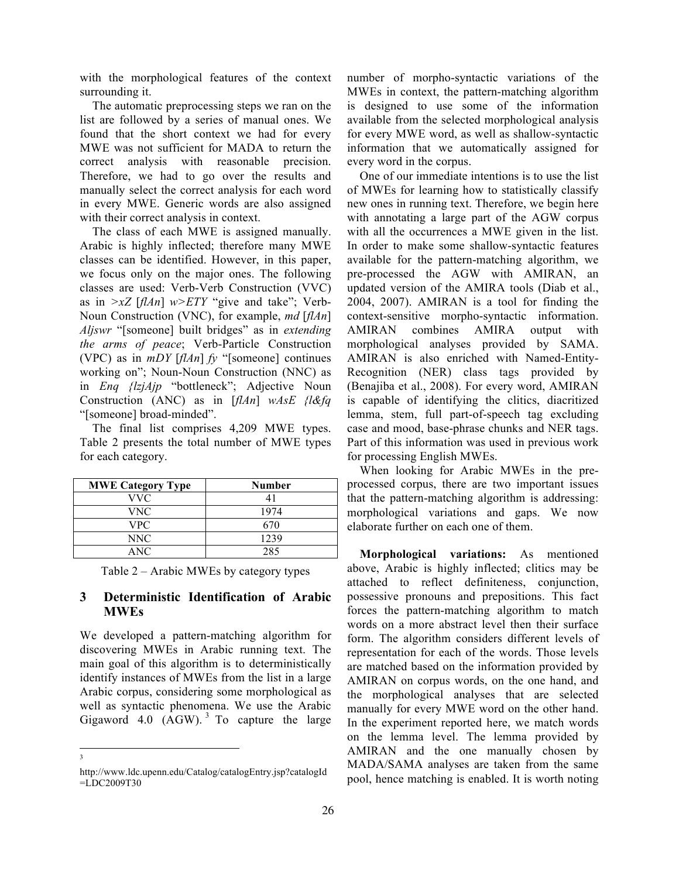with the morphological features of the context surrounding it.

The automatic preprocessing steps we ran on the list are followed by a series of manual ones. We found that the short context we had for every MWE was not sufficient for MADA to return the correct analysis with reasonable precision. Therefore, we had to go over the results and manually select the correct analysis for each word in every MWE. Generic words are also assigned with their correct analysis in context.

The class of each MWE is assigned manually. Arabic is highly inflected; therefore many MWE classes can be identified. However, in this paper, we focus only on the major ones. The following classes are used: Verb-Verb Construction (VVC) as in *>xZ* [*flAn*] *w>ETY* "give and take"; Verb-Noun Construction (VNC), for example, *md* [*flAn*] *Aljswr* "[someone] built bridges" as in *extending the arms of peace*; Verb-Particle Construction (VPC) as in *mDY* [*flAn*] *fy* "[someone] continues working on"; Noun-Noun Construction (NNC) as in *Enq {lzjAjp* "bottleneck"; Adjective Noun Construction (ANC) as in [*flAn*] *wAsE {l&fq* "[someone] broad-minded".

The final list comprises 4,209 MWE types. Table 2 presents the total number of MWE types for each category.

| <b>MWE Category Type</b> | Number |
|--------------------------|--------|
| VVC.                     |        |
| VNC                      | 1974   |
| VPC.                     | 670    |
| NNC                      | 1239   |
| ANC.                     | 285    |

Table 2 – Arabic MWEs by category types

#### **3 Deterministic Identification of Arabic MWEs**

We developed a pattern-matching algorithm for discovering MWEs in Arabic running text. The main goal of this algorithm is to deterministically identify instances of MWEs from the list in a large Arabic corpus, considering some morphological as well as syntactic phenomena. We use the Arabic Gigaword 4.0  $(AGW)$ . <sup>3</sup> To capture the large number of morpho-syntactic variations of the MWEs in context, the pattern-matching algorithm is designed to use some of the information available from the selected morphological analysis for every MWE word, as well as shallow-syntactic information that we automatically assigned for every word in the corpus.

One of our immediate intentions is to use the list of MWEs for learning how to statistically classify new ones in running text. Therefore, we begin here with annotating a large part of the AGW corpus with all the occurrences a MWE given in the list. In order to make some shallow-syntactic features available for the pattern-matching algorithm, we pre-processed the AGW with AMIRAN, an updated version of the AMIRA tools (Diab et al., 2004, 2007). AMIRAN is a tool for finding the context-sensitive morpho-syntactic information. AMIRAN combines AMIRA output with morphological analyses provided by SAMA. AMIRAN is also enriched with Named-Entity-Recognition (NER) class tags provided by (Benajiba et al., 2008). For every word, AMIRAN is capable of identifying the clitics, diacritized lemma, stem, full part-of-speech tag excluding case and mood, base-phrase chunks and NER tags. Part of this information was used in previous work for processing English MWEs.

When looking for Arabic MWEs in the preprocessed corpus, there are two important issues that the pattern-matching algorithm is addressing: morphological variations and gaps. We now elaborate further on each one of them.

**Morphological variations:** As mentioned above, Arabic is highly inflected; clitics may be attached to reflect definiteness, conjunction, possessive pronouns and prepositions. This fact forces the pattern-matching algorithm to match words on a more abstract level then their surface form. The algorithm considers different levels of representation for each of the words. Those levels are matched based on the information provided by AMIRAN on corpus words, on the one hand, and the morphological analyses that are selected manually for every MWE word on the other hand. In the experiment reported here, we match words on the lemma level. The lemma provided by AMIRAN and the one manually chosen by MADA/SAMA analyses are taken from the same pool, hence matching is enabled. It is worth noting

 $\frac{1}{3}$  $\overline{\mathbf{3}}$ 

http://www.ldc.upenn.edu/Catalog/catalogEntry.jsp?catalogId =LDC2009T30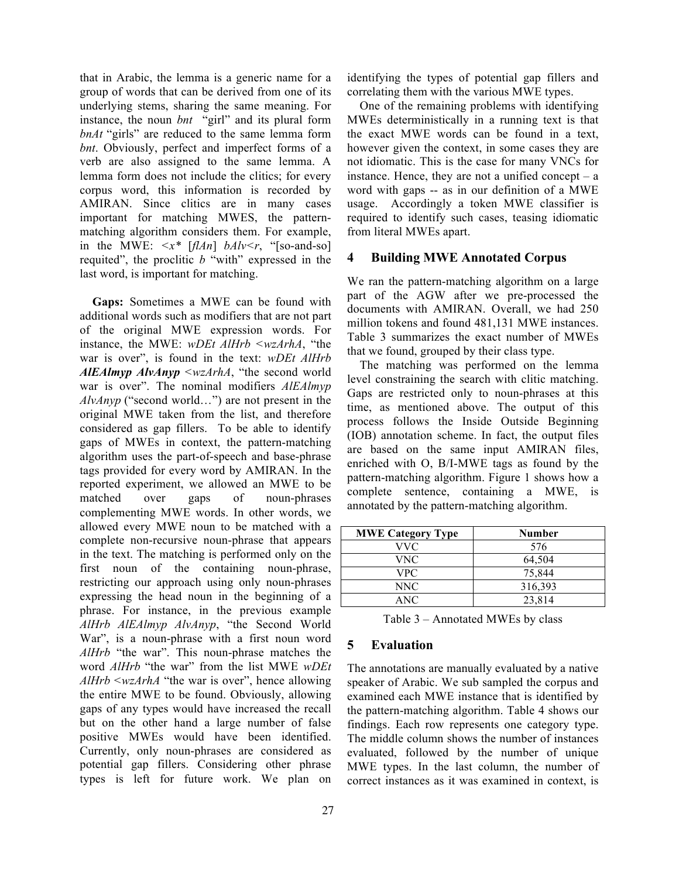that in Arabic, the lemma is a generic name for a group of words that can be derived from one of its underlying stems, sharing the same meaning. For instance, the noun *bnt* "girl" and its plural form *bnAt* "girls" are reduced to the same lemma form *bnt*. Obviously, perfect and imperfect forms of a verb are also assigned to the same lemma. A lemma form does not include the clitics; for every corpus word, this information is recorded by AMIRAN. Since clitics are in many cases important for matching MWES, the patternmatching algorithm considers them. For example, in the MWE:  $\langle x^*$  [*flAn*] *bAlv* $\langle r,$  "[so-and-so] requited", the proclitic *b* "with" expressed in the last word, is important for matching.

**Gaps:** Sometimes a MWE can be found with additional words such as modifiers that are not part of the original MWE expression words. For instance, the MWE: *wDEt AlHrb <wzArhA*, "the war is over", is found in the text: *wDEt AlHrb AlEAlmyp AlvAnyp <wzArhA*, "the second world war is over". The nominal modifiers *AlEAlmyp AlvAnyp* ("second world…") are not present in the original MWE taken from the list, and therefore considered as gap fillers. To be able to identify gaps of MWEs in context, the pattern-matching algorithm uses the part-of-speech and base-phrase tags provided for every word by AMIRAN. In the reported experiment, we allowed an MWE to be matched over gaps of noun-phrases complementing MWE words. In other words, we allowed every MWE noun to be matched with a complete non-recursive noun-phrase that appears in the text. The matching is performed only on the first noun of the containing noun-phrase, restricting our approach using only noun-phrases expressing the head noun in the beginning of a phrase. For instance, in the previous example *AlHrb AlEAlmyp AlvAnyp*, "the Second World War", is a noun-phrase with a first noun word *AlHrb* "the war". This noun-phrase matches the word *AlHrb* "the war" from the list MWE *wDEt AlHrb <wzArhA* "the war is over", hence allowing the entire MWE to be found. Obviously, allowing gaps of any types would have increased the recall but on the other hand a large number of false positive MWEs would have been identified. Currently, only noun-phrases are considered as potential gap fillers. Considering other phrase types is left for future work. We plan on identifying the types of potential gap fillers and correlating them with the various MWE types.

One of the remaining problems with identifying MWEs deterministically in a running text is that the exact MWE words can be found in a text, however given the context, in some cases they are not idiomatic. This is the case for many VNCs for instance. Hence, they are not a unified concept  $-$  a word with gaps -- as in our definition of a MWE usage. Accordingly a token MWE classifier is required to identify such cases, teasing idiomatic from literal MWEs apart.

#### **4 Building MWE Annotated Corpus**

We ran the pattern-matching algorithm on a large part of the AGW after we pre-processed the documents with AMIRAN. Overall, we had 250 million tokens and found 481,131 MWE instances. Table 3 summarizes the exact number of MWEs that we found, grouped by their class type.

The matching was performed on the lemma level constraining the search with clitic matching. Gaps are restricted only to noun-phrases at this time, as mentioned above. The output of this process follows the Inside Outside Beginning (IOB) annotation scheme. In fact, the output files are based on the same input AMIRAN files, enriched with O, B/I-MWE tags as found by the pattern-matching algorithm. Figure 1 shows how a complete sentence, containing a MWE, is annotated by the pattern-matching algorithm.

| <b>MWE Category Type</b> | <b>Number</b> |
|--------------------------|---------------|
| VVC                      | 576           |
| VNC                      | 64,504        |
| VPC.                     | 75,844        |
| NNC                      | 316,393       |
| ANC                      | 23,814        |

Table 3 – Annotated MWEs by class

# **5 Evaluation**

The annotations are manually evaluated by a native speaker of Arabic. We sub sampled the corpus and examined each MWE instance that is identified by the pattern-matching algorithm. Table 4 shows our findings. Each row represents one category type. The middle column shows the number of instances evaluated, followed by the number of unique MWE types. In the last column, the number of correct instances as it was examined in context, is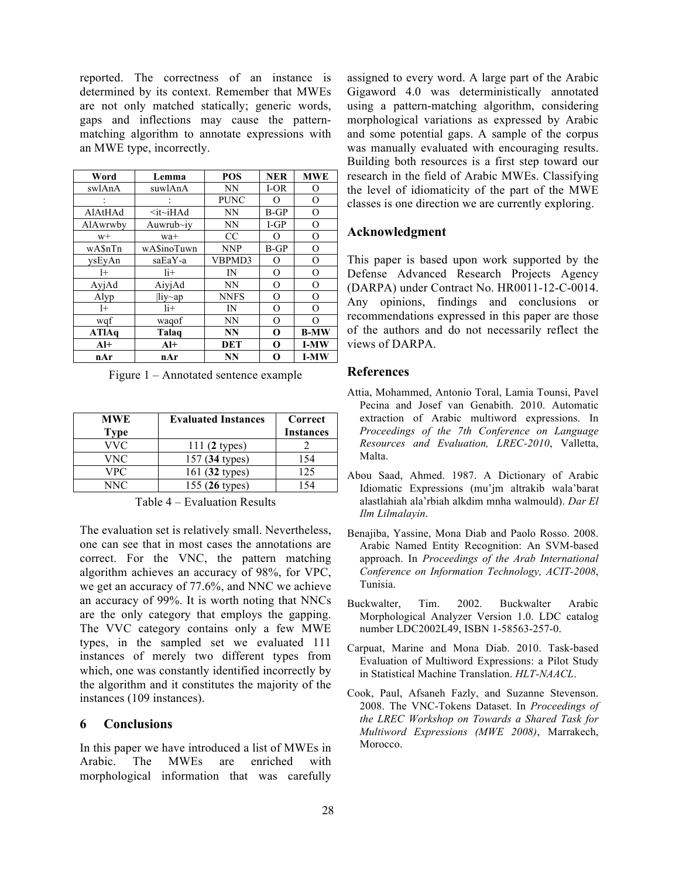reported. The correctness of an instance is determined by its context. Remember that MWEs are not only matched statically; generic words, gaps and inflections may cause the patternmatching algorithm to annotate expressions with an MWE type, incorrectly.

| Word     | Lemma                 | POS         | <b>NER</b> | <b>MWE</b>  |
|----------|-----------------------|-------------|------------|-------------|
| swlAnA   | suwlAnA               | <b>NN</b>   | $I-OR$     | O           |
|          |                       | <b>PUNC</b> | $\Omega$   | O           |
| AlAtHAd  | $\leq$ it $\sim$ iHAd | NN          | $B-GP$     | O           |
| AlAwrwby | Auwrub $\sim$ iy      | <b>NN</b>   | $I-GP$     | O           |
| $W+$     | wa+                   | CC          | O          | O           |
| wA\$nTn  | wA\$inoTuwn           | <b>NNP</b>  | $B-GP$     | $\Omega$    |
| vsEvAn   | saEaY-a               | VBPMD3      | O          | O           |
| $^{1+}$  | $1i+$                 | IN          | O          | $\Omega$    |
| AyjAd    | AiyjAd                | <b>NN</b>   | O          | O           |
| Alyp     | $\parallel$ iy~ap     | <b>NNFS</b> | O          | O           |
| $1+$     | $1i+$                 | IN          | O          | O           |
| wqf      | waqof                 | NN          | O          | $\Omega$    |
| ATIAq    | Talaq                 | NN          | O          | <b>B-MW</b> |
| $Al+$    | $Al+$                 | DET         | O          | <b>I-MW</b> |
| nAr      | nAr                   | NN          | O          | <b>I-MW</b> |

Figure 1 – Annotated sentence example

| MWE         | <b>Evaluated Instances</b> | Correct          |
|-------------|----------------------------|------------------|
| <b>Type</b> |                            | <b>Instances</b> |
| VVC         | $111(2$ types)             |                  |
| VNC         | 157 (34 types)             | 154              |
| VPC         | 161 (32 types)             | 125              |
| NNC.        | 155 (26 types)             |                  |

Table 4 – Evaluation Results

The evaluation set is relatively small. Nevertheless, one can see that in most cases the annotations are correct. For the VNC, the pattern matching algorithm achieves an accuracy of 98%, for VPC, we get an accuracy of 77.6%, and NNC we achieve an accuracy of 99%. It is worth noting that NNCs are the only category that employs the gapping. The VVC category contains only a few MWE types, in the sampled set we evaluated 111 instances of merely two different types from which, one was constantly identified incorrectly by the algorithm and it constitutes the majority of the instances (109 instances).

# **6 Conclusions**

In this paper we have introduced a list of MWEs in Arabic. The MWEs are enriched with morphological information that was carefully assigned to every word. A large part of the Arabic Gigaword 4.0 was deterministically annotated using a pattern-matching algorithm, considering morphological variations as expressed by Arabic and some potential gaps. A sample of the corpus was manually evaluated with encouraging results. Building both resources is a first step toward our research in the field of Arabic MWEs. Classifying the level of idiomaticity of the part of the MWE classes is one direction we are currently exploring.

# **Acknowledgment**

This paper is based upon work supported by the Defense Advanced Research Projects Agency (DARPA) under Contract No. HR0011-12-C-0014. Any opinions, findings and conclusions or recommendations expressed in this paper are those of the authors and do not necessarily reflect the views of DARPA.

# **References**

- Attia, Mohammed, Antonio Toral, Lamia Tounsi, Pavel Pecina and Josef van Genabith. 2010. Automatic extraction of Arabic multiword expressions. In *Proceedings of the 7th Conference on Language Resources and Evaluation, LREC-2010*, Valletta, Malta.
- Abou Saad, Ahmed. 1987. A Dictionary of Arabic Idiomatic Expressions (mu'jm altrakib wala'barat alastlahiah ala'rbiah alkdim mnha walmould). *Dar El Ilm Lilmalayin*.
- Benajiba, Yassine, Mona Diab and Paolo Rosso. 2008. Arabic Named Entity Recognition: An SVM-based approach. In *Proceedings of the Arab International Conference on Information Technology, ACIT-2008*, Tunisia.
- Buckwalter, Tim. 2002. Buckwalter Arabic Morphological Analyzer Version 1.0. LDC catalog number LDC2002L49, ISBN 1-58563-257-0.
- Carpuat, Marine and Mona Diab. 2010. Task-based Evaluation of Multiword Expressions: a Pilot Study in Statistical Machine Translation. *HLT-NAACL*.
- Cook, Paul, Afsaneh Fazly, and Suzanne Stevenson. 2008. The VNC-Tokens Dataset. In *Proceedings of the LREC Workshop on Towards a Shared Task for Multiword Expressions (MWE 2008)*, Marrakech, Morocco.